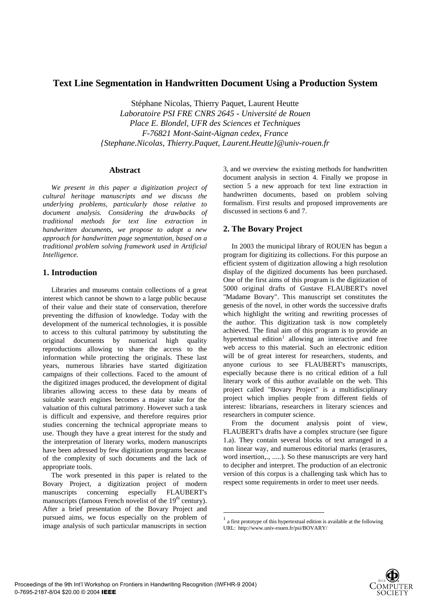# **Text Line Segmentation in Handwritten Document Using a Production System**

Stéphane Nicolas, Thierry Paquet, Laurent Heutte

*Laboratoire PSI FRE CNRS 2645 - Université de Rouen Place E. Blondel, UFR des Sciences et Techniques F-76821 Mont-Saint-Aignan cedex, France {Stephane.Nicolas, Thierry.Paquet, Laurent.Heutte}@univ-rouen.fr*

#### **Abstract**

*We present in this paper a digitization project of cultural heritage manuscripts and we discuss the underlying problems, particularly those relative to document analysis. Considering the drawbacks of traditional methods for text line extraction in handwritten documents, we propose to adopt a new approach for handwritten page segmentation, based on a traditional problem solving framework used in Artificial Intelligence.*

# **1. Introduction**

Libraries and museums contain collections of a great interest which cannot be shown to a large public because of their value and their state of conservation, therefore preventing the diffusion of knowledge. Today with the development of the numerical technologies, it is possible to access to this cultural patrimony by substituting the original documents by numerical high quality reproductions allowing to share the access to the information while protecting the originals. These last years, numerous libraries have started digitization campaigns of their collections. Faced to the amount of the digitized images produced, the development of digital libraries allowing access to these data by means of suitable search engines becomes a major stake for the valuation of this cultural patrimony. However such a task is difficult and expensive, and therefore requires prior studies concerning the technical appropriate means to use. Though they have a great interest for the study and the interpretation of literary works, modern manuscripts have been adressed by few digitization programs because of the complexity of such documents and the lack of appropriate tools.

The work presented in this paper is related to the Bovary Project, a digitization project of modern manuscripts concerning especially FLAUBERT's manuscripts (famous French novelist of the 19<sup>th</sup> century). After a brief presentation of the Bovary Project and pursued aims, we focus especially on the problem of image analysis of such particular manuscripts in section 3, and we overview the existing methods for handwritten document analysis in section 4. Finally we propose in section 5 a new approach for text line extraction in handwritten documents, based on problem solving formalism. First results and proposed improvements are discussed in sections 6 and 7.

# **2. The Bovary Project**

In 2003 the municipal library of ROUEN has begun a program for digitizing its collections. For this purpose an efficient system of digitization allowing a high resolution display of the digitized documents has been purchased. One of the first aims of this program is the digitization of 5000 original drafts of Gustave FLAUBERT's novel "Madame Bovary". This manuscript set constitutes the genesis of the novel, in other words the successive drafts which highlight the writing and rewriting processes of the author. This digitization task is now completely achieved. The final aim of this program is to provide an hypertextual edition<sup>1</sup> allowing an interactive and free web access to this material. Such an electronic edition will be of great interest for researchers, students, and anyone curious to see FLAUBERT's manuscripts, especially because there is no critical edition of a full literary work of this author available on the web. This project called "Bovary Project" is a multidisciplinary project which implies people from different fields of interest: librarians, researchers in literary sciences and researchers in computer science.

From the document analysis point of view, FLAUBERT's drafts have a complex structure (see figure 1.a). They contain several blocks of text arranged in a non linear way, and numerous editorial marks (erasures, word insertion,., .....). So these manuscripts are very hard to decipher and interpret. The production of an electronic version of this corpus is a challenging task which has to respect some requirements in order to meet user needs.

-



 $1$  a first prototype of this hypertextual edition is available at the following URL: http://www.univ-rouen.fr/psi/BOVARY/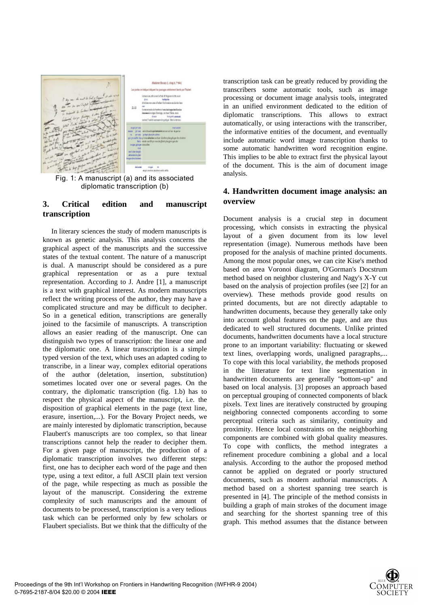

Fig. 1: A manuscript (a) and its associated diplomatic transcription (b)

#### **3. Critical edition and manuscript transcription**

In literary sciences the study of modern manuscripts is known as genetic analysis. This analysis concerns the graphical aspect of the manuscripts and the successive states of the textual content. The nature of a manuscript is dual. A manuscript should be considered as a pure graphical representation or as a pure textual representation. According to J. Andre [1], a manuscript is a text with graphical interest. As modern manuscripts reflect the writing process of the author, they may have a complicated structure and may be difficult to decipher. So in a genetical edition, transcriptions are generally joined to the facsimile of manuscripts. A transcription allows an easier reading of the manuscript. One can distinguish two types of transcription: the linear one and the diplomatic one. A linear transcription is a simple typed version of the text, which uses an adapted coding to transcribe, in a linear way, complex editorial operations of the author (deletation, insertion, substitution) sometimes located over one or several pages. On the contrary, the diplomatic transcription (fig. 1.b) has to respect the physical aspect of the manuscript, i.e. the disposition of graphical elements in the page (text line, erasure, insertion,...). For the Bovary Project needs, we are mainly interested by diplomatic transcription, because Flaubert's manuscripts are too complex, so that linear transcriptions cannot help the reader to decipher them. For a given page of manuscript, the production of a diplomatic transcription involves two different steps: first, one has to decipher each word of the page and then type, using a text editor, a full ASCII plain text version of the page, while respecting as much as possible the layout of the manuscript. Considering the extreme complexity of such manuscripts and the amount of documents to be processed, transcription is a very tedious task which can be performed only by few scholars or Flaubert specialists. But we think that the difficulty of the

transcription task can be greatly reduced by providing the transcribers some automatic tools, such as image processing or document image analysis tools, integrated in an unified environment dedicated to the edition of diplomatic transcriptions. This allows to extract automatically, or using interactions with the transcriber, the informative entities of the document, and eventually include automatic word image transcription thanks to some automatic handwritten word recognition engine. This implies to be able to extract first the physical layout of the document. This is the aim of document image analysis.

### **4. Handwritten document image analysis: an overview**

Document analysis is a crucial step in document processing, which consists in extracting the physical layout of a given document from its low level representation (image). Numerous methods have been proposed for the analysis of machine printed documents. Among the most popular ones, we can cite Kise's method based on area Voronoi diagram, O'Gorman's Docstrum method based on neighbor clustering and Nagy's X-Y cut based on the analysis of projection profiles (see [2] for an overview). These methods provide good results on printed documents, but are not directly adaptable to handwritten documents, because they generally take only into account global features on the page, and are thus dedicated to well structured documents. Unlike printed documents, handwritten documents have a local structure prone to an important variability: fluctuating or skewed text lines, overlapping words, unaligned paragraphs,... To cope with this local variability, the methods proposed in the litterature for text line segmentation in handwritten documents are generally "bottom-up" and based on local analysis. [3] proposes an approach based on perceptual grouping of connected components of black pixels. Text lines are iteratively constructed by grouping neighboring connected components according to some perceptual criteria such as similarity, continuity and proximity. Hence local constraints on the neighborhing components are combined with global quality measures. To cope with conflicts, the method integrates a refinement procedure combining a global and a local analysis. According to the author the proposed method cannot be applied on degrated or poorly structured documents, such as modern authorial manuscripts. A method based on a shortest spanning tree search is presented in [4]. The principle of the method consists in building a graph of main strokes of the document image and searching for the shortest spanning tree of this graph. This method assumes that the distance between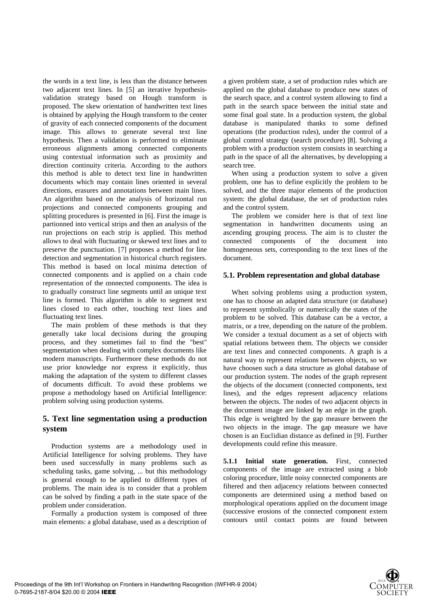the words in a text line, is less than the distance between two adjacent text lines. In [5] an iterative hypothesisvalidation strategy based on Hough transform is proposed. The skew orientation of handwritten text lines is obtained by applying the Hough transform to the center of gravity of each connected components of the document image. This allows to generate several text line hypothesis. Then a validation is performed to eliminate erroneous alignments among connected components using contextual information such as proximity and direction continuity criteria. According to the authors this method is able to detect text line in handwritten documents which may contain lines oriented in several directions, erasures and annotations between main lines. An algorithm based on the analysis of horizontal run projections and connected components grouping and splitting procedures is presented in [6]. First the image is partionned into vertical strips and then an analysis of the run projections on each strip is applied. This method allows to deal with fluctuating or skewed text lines and to preserve the punctuation. [7] proposes a method for line detection and segmentation in historical church registers. This method is based on local minima detection of connected components and is applied on a chain code representation of the connected components. The idea is to gradually construct line segments until an unique text line is formed. This algorithm is able to segment text lines closed to each other, touching text lines and fluctuating text lines.

The main problem of these methods is that they generally take local decisions during the grouping process, and they sometimes fail to find the "best" segmentation when dealing with complex documents like modern manuscripts. Furthermore these methods do not use prior knowledge nor express it explicitly, thus making the adaptation of the system to different classes of documents difficult. To avoid these problems we propose a methodology based on Artificial Intelligence: problem solving using production systems.

### **5. Text line segmentation using a production system**

Production systems are a methodology used in Artificial Intelligence for solving problems. They have been used successfully in many problems such as scheduling tasks, game solving, ... but this methodology is general enough to be applied to different types of problems. The main idea is to consider that a problem can be solved by finding a path in the state space of the problem under consideration.

Formally a production system is composed of three main elements: a global database, used as a description of a given problem state, a set of production rules which are applied on the global database to produce new states of the search space, and a control system allowing to find a path in the search space between the initial state and some final goal state. In a production system, the global database is manipulated thanks to some defined operations (the production rules), under the control of a global control strategy (search procedure) [8]. Solving a problem with a production system consists in searching a path in the space of all the alternatives, by developping a search tree.

When using a production system to solve a given problem, one has to define explicitly the problem to be solved, and the three major elements of the production system: the global database, the set of production rules and the control system.

The problem we consider here is that of text line segmentation in handwritten documents using an ascending grouping process. The aim is to cluster the connected components of the document into homogeneous sets, corresponding to the text lines of the document.

#### **5.1. Problem representation and global database**

When solving problems using a production system, one has to choose an adapted data structure (or database) to represent symbolically or numerically the states of the problem to be solved. This database can be a vector, a matrix, or a tree, depending on the nature of the problem. We consider a textual document as a set of objects with spatial relations between them. The objects we consider are text lines and connected components. A graph is a natural way to represent relations between objects, so we have choosen such a data structure as global database of our production system. The nodes of the graph represent the objects of the document (connected components, text lines), and the edges represent adjacency relations between the objects. The nodes of two adjacent objects in the document image are linked by an edge in the graph. This edge is weighted by the gap measure between the two objects in the image. The gap measure we have chosen is an Euclidian distance as defined in [9]. Further developments could refine this measure.

**5.1.1 Initial state generation.** First, connected components of the image are extracted using a blob coloring procedure, little noisy connected components are filtered and then adjacency relations between connected components are determined using a method based on morphological operations applied on the document image (successive erosions of the connected component extern contours until contact points are found between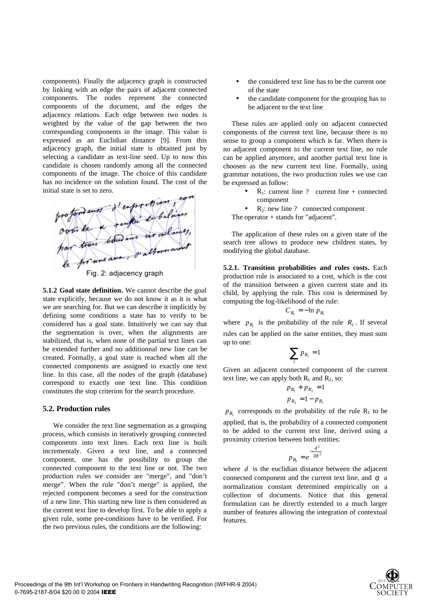components). Finally the adjacency graph is constructed by linking with an edge the pairs of adjacent connected components. The nodes represent the connected components of the document, and the edges the adjacency relations. Each edge between two nodes is weighted by the value of the gap between the two corresponding components in the image. This value is expressed as an Euclidian distance [9]. From this adjacency graph, the initial state is obtained just by selecting a candidate as text-line seed. Up to now this candidate is chosen randomly among all the connected components of the image. The choice of this candidate has no incidence on the solution found. The cost of the initial state is set to zero.



**5.1.2 Goal state definition.** We cannot describe the goal state explicitly, because we do not know it as it is what we are searching for. But we can describe it implicitly by defining some conditions a state has to verify to be considered has a goal state. Intuitively we can say that the segmentation is over, when the alignments are stabilized, that is, when none of the partial text lines can be extended further and no additionnal new line can be created. Formally, a goal state is reached when all the connected components are assigned to exactly one text line. In this case, all the nodes of the graph (database) correspond to exactly one text line. This condition constitutes the stop criterion for the search procedure.

#### **5.2. Production rules**

We consider the text line segmentation as a grouping process, which consists in iteratively grouping connected components into text lines. Each text line is built incrementaly. Given a text line, and a connected component, one has the possibility to group the connected component to the text line or not. The two production rules we consider are "merge", and "don't merge". When the rule "don't merge" is applied, the rejected component becomes a seed for the construction of a new line. This starting new line is then considered as the current text line to develop first. To be able to apply a given rule, some pre-conditions have to be verified. For the two previous rules, the conditions are the following:

- the considered text line has to be the current one of the state
- the candidate component for the grouping has to be adjacent to the text line

These rules are applied only on adjacent connected components of the current text line, because there is no sense to group a component which is far. When there is no adjacent component to the current text line, no rule can be applied anymore, and another partial text line is choosen as the new current text line. Formally, using grammar notations, the two production rules we use can be expressed as follow:

- $R_1$ : current line ? current line + connected component
- $R_2$ : new line ? connected component

The operator + stands for "adjacent".

The application of these rules on a given state of the search tree allows to produce new children states, by modifying the global database.

**5.2.1. Transition probabilities and rules costs.** Each production rule is associated to a cost, which is the cost of the transition between a given current state and its child, by applying the rule. This cost is determined by computing the log-likelihood of the rule:

$$
C_{R_i} = -\ln p_{R_i}
$$

where  $p_{R_i}$  is the probability of the rule  $R_i$ . If several rules can be applied on the same entities, they must sum up to one:

$$
\sum_i p_{R_i} = 1
$$

Given an adjacent connected component of the current text line, we can apply both  $R_1$  and  $R_2$ , so:

$$
p_{R_1} + p_{R_2} = 1
$$
  

$$
p_{R_2} = 1 - p_{R_1}
$$

 $p_{R_1}$  corresponds to the probability of the rule R<sub>1</sub> to be

applied, that is, the probability of a connected component to be added to the current text line, derived using a proximity criterion between both entities:

$$
p_{R_1} = e^{-\frac{d^2}{2s^2}}
$$

where *d* is the euclidian distance between the adjacent connected component and the current text line, and *s* a normalization constant determined empirically on a collection of documents. Notice that this general formulation can be directly extended to a much larger number of features allowing the integration of contextual features.

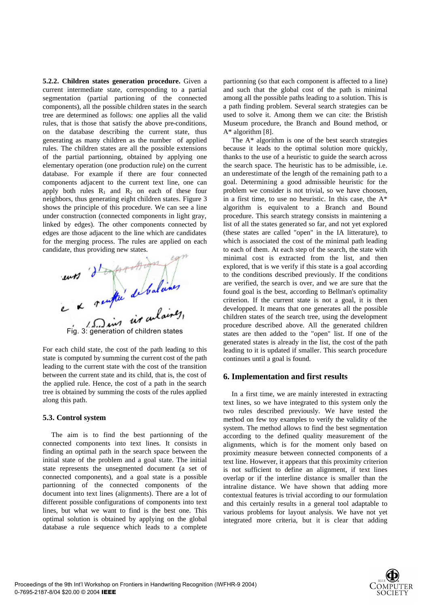**5.2.2. Children states generation procedure.** Given a current intermediate state, corresponding to a partial segmentation (partial partioning of the connected components), all the possible children states in the search tree are determined as follows: one applies all the valid rules, that is those that satisfy the above pre-conditions, on the database describing the current state, thus generating as many children as the number of applied rules. The children states are all the possible extensions of the partial partionning, obtained by applying one elementary operation (one production rule) on the current database. For example if there are four connected components adjacent to the current text line, one can apply both rules  $R_1$  and  $R_2$  on each of these four neighbors, thus generating eight children states. Figure 3 shows the principle of this procedure. We can see a line under construction (connected components in light gray, linked by edges). The other components connected by edges are those adjacent to the line which are candidates for the merging process. The rules are applied on each candidate, thus providing new states.



For each child state, the cost of the path leading to this state is computed by summing the current cost of the path leading to the current state with the cost of the transition between the current state and its child, that is, the cost of the applied rule. Hence, the cost of a path in the search tree is obtained by summing the costs of the rules applied along this path.

### **5.3. Control system**

The aim is to find the best partionning of the connected components into text lines. It consists in finding an optimal path in the search space between the initial state of the problem and a goal state. The initial state represents the unsegmented document (a set of connected components), and a goal state is a possible partionning of the connected components of the document into text lines (alignments). There are a lot of different possible configurations of components into text lines, but what we want to find is the best one. This optimal solution is obtained by applying on the global database a rule sequence which leads to a complete

partionning (so that each component is affected to a line) and such that the global cost of the path is minimal among all the possible paths leading to a solution. This is a path finding problem. Several search strategies can be used to solve it. Among them we can cite: the Bristish Museum procedure, the Branch and Bound method, or A\* algorithm [8].

The A\* algorithm is one of the best search strategies because it leads to the optimal solution more quickly, thanks to the use of a heuristic to guide the search across the search space. The heuristic has to be admissible, i.e. an underestimate of the length of the remaining path to a goal. Determining a good admissible heuristic for the problem we consider is not trivial, so we have choosen, in a first time, to use no heuristic. In this case, the  $A^*$ algorithm is equivalent to a Branch and Bound procedure. This search strategy consists in maintening a list of all the states generated so far, and not yet explored (these states are called "open" in the IA litterature), to which is associated the cost of the minimal path leading to each of them. At each step of the search, the state with minimal cost is extracted from the list, and then explored, that is we verify if this state is a goal according to the conditions described previously. If the conditions are verified, the search is over, and we are sure that the found goal is the best, according to Bellman's optimality criterion. If the current state is not a goal, it is then developped. It means that one generates all the possible children states of the search tree, using the development procedure described above. All the generated children states are then added to the "open" list. If one of the generated states is already in the list, the cost of the path leading to it is updated if smaller. This search procedure continues until a goal is found.

#### **6. Implementation and first results**

In a first time, we are mainly interested in extracting text lines, so we have integrated to this system only the two rules described previously. We have tested the method on few toy examples to verify the validity of the system. The method allows to find the best segmentation according to the defined quality measurement of the alignments, which is for the moment only based on proximity measure between connected components of a text line. However, it appears that this proximity criterion is not sufficient to define an alignment, if text lines overlap or if the interline distance is smaller than the intraline distance. We have shown that adding more contextual features is trivial according to our formulation and this certainly results in a general tool adaptable to various problems for layout analysis. We have not yet integrated more criteria, but it is clear that adding